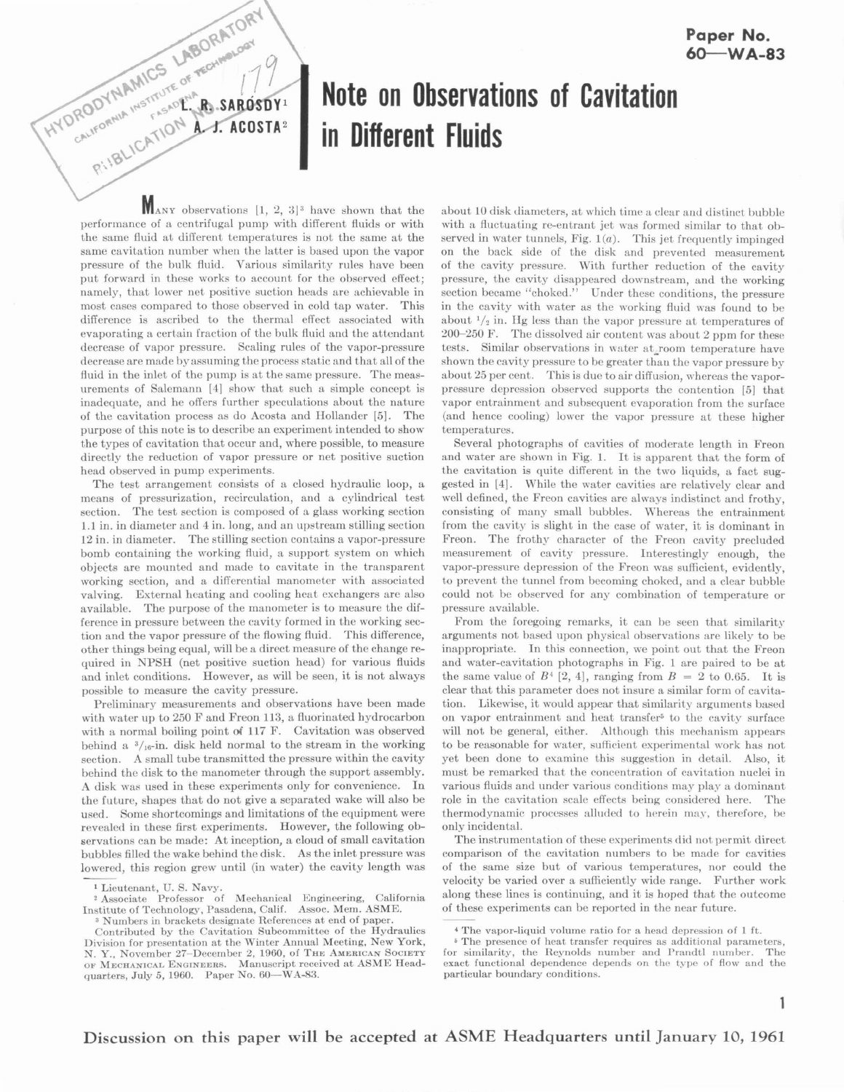## HYDRODYNAMICS LABORATORY RESERVATION A. J. ACOSTAL PRINCES LABORATORY

## **Note on Observations of Cavitation in Different Fluids**

 $M_{\text{ANY}}$  observations [1, 2, 3]<sup>3</sup> have shown that the performance of a centrifugal pump with different fluids or with the same fluid at different temperatures is not the same at the same cavitation number when the latter is based upon the vapor pressure of the bulk fluid. Various similarity rules have been put forward in these works to account for the observed effect; namely, that lower net positive suction heads are achievable in most cases compared to those observed in cold tap water. This difference is ascribed to the thermal effect associated with evaporating a certain fraction of the bulk fluid and the attendant decrease of vapor pressure. Scaling rules of the vapor-pressure decrease are made by assuming the process static and that all of the fluid in the inlet of the pump is at the same pressure. The measurements of Salemann [4] show that such a simple concept is inadequate, and he offers further speculations about the nature of the cavitation process as do Acosta and Hollander [5]. The purpose of this note is to describe an experiment intended to show the types of cavitation that occur and, where possible, to measure directly the reduction of vapor pressure or net positive suction head observed in pump experiments.

The test arrangement consists of a closed hydraulic loop, a means of pressurization, recirculation, and a cylindrical test section. The test section is composed of a glass working section 1.1 in. in diameter and 4 in. long, and an upstream stilling section 12 in. in diameter. The stilling section contains a vapor-pressure bomb containing the working fiuid, a support system on which objects are mounted and made to cavitate in the transparent working section, and a differential manometer with associated valving. External heating and cooling heat exchangers are also available. The purpose of the manometer is to measure the difference in pressure between the cavity formed in the working section and the vapor pressure of the flowing fluid. This difference, other things being equal, will be a direct measure of the change required in NPSH (net positive suction head) for various fiuids and inlet conditions. However, as will be seen, it is not always possible to measure the cavity pressure.

Preliminary measurements and observations have been made with water up to 250 F and Freon 113, a fluorinated hydrocarbon with a normal boiling point of 117 F. Cavitation was observed behind a  $\frac{3}{16}$ -in. disk held normal to the stream in the working section. A small tube transmitted the pressure within the cavity behind the disk to the manometer through the support assembly. A disk was used in these experiments only for convenience. In the future, shapes that do not give a separated wake will also be used. Some shortcomings and limitations of the equipment were revealed in these first experiments. However, the following observations can be made: At inception, a cloud of small cavitation bubbles filled the wake behind the disk. As the inlet pressure was lowered, this region grew until (in water) the cavity length was

about 10 disk diameters, at which time a clear and distinct bubble with a fluctuating re-entrant jet was formed similar to that observed in water tunnels, Fig.  $1(a)$ . This jet frequently impinged on the back side of the disk and prevented measurement of the cavity pressure. With further reduction of the cavity pressure, the cavity disappeared downstream, and the working section became "choked." Under these conditions, the pressure in the cavity with water as the working fluid was found to be about  $\frac{1}{2}$  in. Hg less than the vapor pressure at temperatures of  $200-250$  F. The dissolved air content was about 2 ppm for these tests. Similar observations in water at room temperature have shown the cavity pressure to be greater than the vapor pressure by about 25 per cent. This is due to air diffusion, whereas the vaporpressure depression observed supports the contention [5] that vapor entrainment and subsequent evaporation from the surface (and hence cooling) lower the vapor pressure at these higher temperatures.

Several photographs of cavities of moderate length in Freon and water are shown in Fig. 1. It is apparent that the form of the cavitation is quite different in the two liquids, a fact suggested in [4]. While the water cavities are relatively clear and well defined, the Freon cavities are always indistinct and frothy, consisting of many small bubbles. Whereas the entrainment from the cavity is slight in the case of water, it is dominant in Freon. The frothy character of the Freon cavity precluded measmement of cavity pressure. Interestingly enough, the vapor-pressure depression of the Freon was sufficient, evidently, to prevent the tunnel from becoming choked, and a clear bubble could not be observed for any combination of temperature or pressure available.

From the foregoing remarks, it can be seen that similarity arguments not based upon physical observations are likely to be inappropriate. In this connection, we point out that the Freon and water-cavitation photographs in Fig. 1 are paired to be at the same value of  $B^4$  [2, 4], ranging from  $B = 2$  to 0.65. It is clear that this parameter does not insure a similar form of cavitation. Likewise, it would appear that similarity arguments based on vapor entrainment and heat transfer• to the cavity surface will not be general, either. Although this mechanism appears to be reasonable for water, sufficient experimental work has not yet been done to examine this suggestion in detail. Also, it must be remarked that the concentration of cavitation nuclei in various fluids and under various conditions may play a dominant role in the cavitation scale effects being considered here. The thermodynamic processes alluded to herein may, therefore, be only incidental.

The instrumentation of these experiments did not permit direct comparison of the cavitation numbers to be made for cavities of the same size but of various temperatures, nor could the velocity be varied over a sufficiently wide range. Further work along these lines is continuing, and it is hoped that the outcome of these experiments can be reported in the near future.

<sup>&#</sup>x27;Lieutenant, U. S. Navy. *z* Associate Professor of Mechanical Engineering, California

<sup>&</sup>lt;sup>3</sup> Numbers in brackets designate References at end of paper. Contributed by the Cavitation Subcommittee of the Hydraulics Division for presentation at the Winter Annual Meeting, New York, Y., November 27-December 2, 1960, of THE AMERICAN SOCIETY OF MECHANICAL ENGINEERS. Manuscript received at ASME Headquarters, July 5, 1960. Paper No. 60-WA-83.

 $\degree$  The vapor-liquid volume ratio for a head depression of 1 ft.  $\degree$  The presence of heat transfer requires as additional parameters, for similarity, the Reynolds number and Prandtl number. The exact functional dependence depends on the type of flow and the particular boundary conditions.